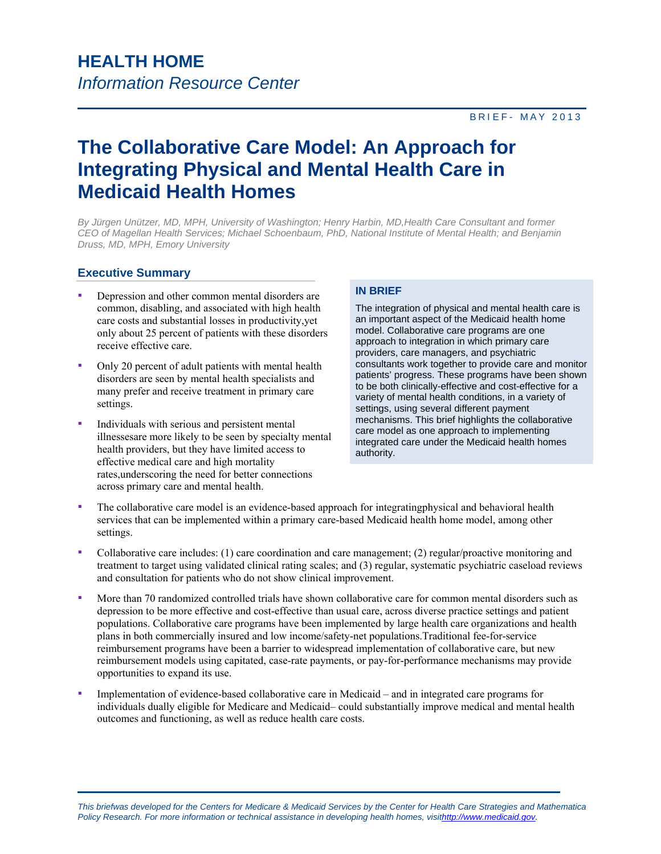## BRIEF- MAY 2013

# **The Collaborative Care Model: An Approach for Integrating Physical and Mental Health Care in Medicaid Health Homes**

*By Jürgen Unützer, MD, MPH, University of Washington; Henry Harbin, MD,Health Care Consultant and former CEO of Magellan Health Services; Michael Schoenbaum, PhD, National Institute of Mental Health; and Benjamin Druss, MD, MPH, Emory University*

## **Executive Summary**

- Depression and other common mental disorders are common, disabling, and associated with high health care costs and substantial losses in productivity,yet only about 25 percent of patients with these disorders receive effective care.
- Only 20 percent of adult patients with mental health disorders are seen by mental health specialists and many prefer and receive treatment in primary care settings.
- Individuals with serious and persistent mental illnessesare more likely to be seen by specialty mental health providers, but they have limited access to effective medical care and high mortality rates,underscoring the need for better connections across primary care and mental health.

#### **IN BRIEF**

The integration of physical and mental health care is an important aspect of the Medicaid health home model. Collaborative care programs are one approach to integration in which primary care providers, care managers, and psychiatric consultants work together to provide care and monitor patients' progress. These programs have been shown to be both clinically-effective and cost-effective for a variety of mental health conditions, in a variety of settings, using several different payment mechanisms. This brief highlights the collaborative care model as one approach to implementing integrated care under the Medicaid health homes authority.

- The collaborative care model is an evidence-based approach for integratingphysical and behavioral health services that can be implemented within a primary care-based Medicaid health home model, among other settings.
- Collaborative care includes: (1) care coordination and care management; (2) regular/proactive monitoring and treatment to target using validated clinical rating scales; and (3) regular, systematic psychiatric caseload reviews and consultation for patients who do not show clinical improvement.
- More than 70 randomized controlled trials have shown collaborative care for common mental disorders such as populations. Collaborative care programs have been implemented by large health care organizations and health reimbursement models using capitated, case-rate payments, or pay-for-performance mechanisms may provide depression to be more effective and cost-effective than usual care, across diverse practice settings and patient plans in both commercially insured and low income/safety-net populations.Traditional fee-for-service reimbursement programs have been a barrier to widespread implementation of collaborative care, but new opportunities to expand its use.
- individuals dually eligible for Medicare and Medicaid– could substantially improve medical and mental health outcomes and functioning, as well as reduce health care costs. Implementation of evidence-based collaborative care in Medicaid – and in integrated care programs for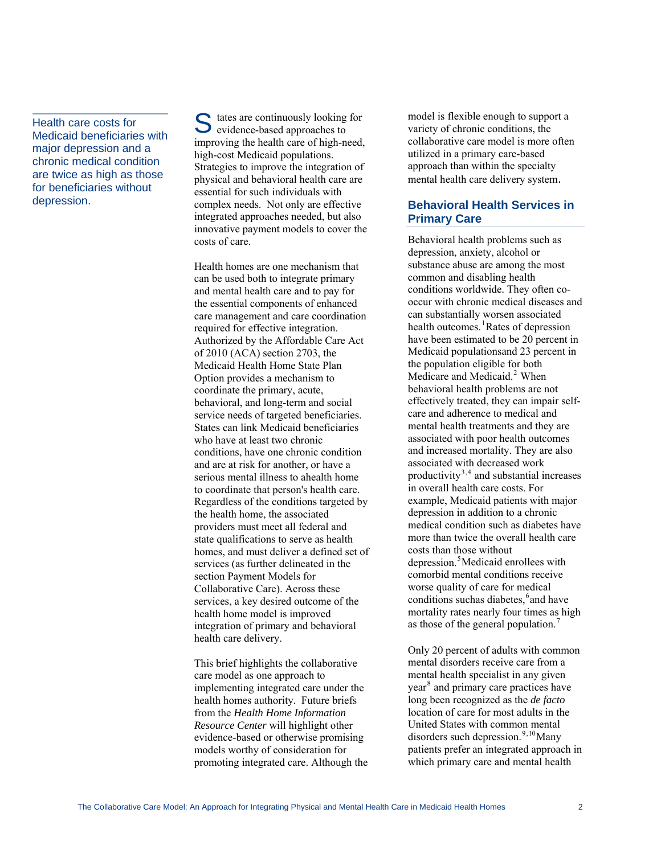Health care costs for Medicaid beneficiaries with major depression and a chronic medical condition are twice as high as those for beneficiaries without depression.

tates are continuously looking for S tates are continuously looking<br>
evidence-based approaches to improving the health care of high-need, high-cost Medicaid populations. Strategies to improve the integration of physical and behavioral health care are essential for such individuals with complex needs. Not only are effective integrated approaches needed, but also innovative payment models to cover the costs of care.

Health homes are one mechanism that can be used both to integrate primary and mental health care and to pay for the essential components of enhanced care management and care coordination required for effective integration. Authorized by the Affordable Care Act of 2010 (ACA) section 2703, the Medicaid Health Home State Plan Option provides a mechanism to coordinate the primary, acute, behavioral, and long-term and social service needs of targeted beneficiaries. States can link Medicaid beneficiaries who have at least two chronic conditions, have one chronic condition and are at risk for another, or have a serious mental illness to ahealth home to coordinate that person's health care. Regardless of the conditions targeted by the health home, the associated providers must meet all federal and state qualifications to serve as health homes, and must deliver a defined set of services (as further delineated in the section Payment Models for Collaborative Care). Across these services, a key desired outcome of the health home model is improved integration of primary and behavioral health care delivery.

This brief highlights the collaborative care model as one approach to implementing integrated care under the health homes authority. Future briefs from the *Health Home Information Resource Center* will highlight other evidence-based or otherwise promising models worthy of consideration for promoting integrated care. Although the model is flexible enough to support a variety of chronic conditions, the collaborative care model is more often utilized in a primary care-based approach than within the specialty mental health care delivery system.

## **Behavioral Health Services in Primary Care**

Behavioral health problems such as depression, anxiety, alcohol or substance abuse are among the most common and disabling health conditions worldwide. They often cooccur with chronic medical diseases and can substantially worsen associated health outcomes.<sup>[1](#page-10-0)</sup>Rates of depression have been estimated to be 20 percent in Medicaid populationsand 23 percent in the population eligible for both Medicare and Medicaid.<sup>[2](#page-10-1)</sup> When behavioral health problems are not effectively treated, they can impair selfcare and adherence to medical and mental health treatments and they are associated with poor health outcomes and increased mortality. They are also associated with decreased work productivity $3,4$  $3,4$  $3,4$  and substantial increases in overall health care costs. For example, Medicaid patients with major depression in addition to a chronic medical condition such as diabetes have more than twice the overall health care costs than those without depression.<sup>[5](#page-10-1)</sup>Medicaid enrollees with comorbid mental conditions receive worse quality of care for medical conditions suchas diabetes, <sup>[6](#page-10-1)</sup> and have mortality rates nearly four times as high as those of the general population.<sup>[7](#page-10-1)</sup>

Only 20 percent of adults with common mental disorders receive care from a mental health specialist in any given year<sup>[8](#page-10-1)</sup> and primary care practices have long been recognized as the *de facto* location of care for most adults in the United States with common mental disorders such depression.<sup>[9](#page-10-1),[10](#page-10-1)</sup>Many patients prefer an integrated approach in which primary care and mental health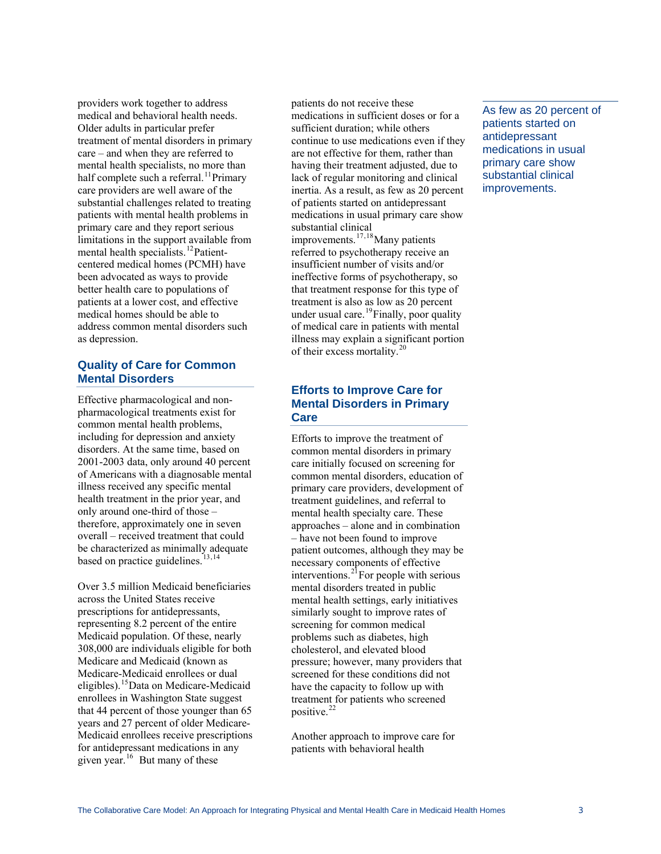providers work together to address medical and behavioral health needs. Older adults in particular prefer treatment of mental disorders in primary care – and when they are referred to mental health specialists, no more than half complete such a referral.<sup>[11](#page-10-1)</sup>Primary care providers are well aware of the substantial challenges related to treating patients with mental health problems in primary care and they report serious limitations in the support available from mental health specialists.<sup>[12](#page-10-1)</sup>Patientcentered medical homes (PCMH) have been advocated as ways to provide better health care to populations of patients at a lower cost, and effective medical homes should be able to address common mental disorders such as depression.

## **Quality of Care for Common Mental Disorders**

Effective pharmacological and nonpharmacological treatments exist for common mental health problems, including for depression and anxiety disorders. At the same time, based on 2001-2003 data, only around 40 percent of Americans with a diagnosable mental illness received any specific mental health treatment in the prior year, and only around one-third of those – therefore, approximately one in seven overall – received treatment that could be characterized as minimally adequate based on practice guidelines. $13,14$  $13,14$  $13,14$ 

Over 3.5 million Medicaid beneficiaries across the United States receive prescriptions for antidepressants, representing 8.2 percent of the entire Medicaid population. Of these, nearly 308,000 are individuals eligible for both Medicare and Medicaid (known as Medicare-Medicaid enrollees or dual eligibles).[15](#page-10-1)Data on Medicare-Medicaid enrollees in Washington State suggest that 44 percent of those younger than 65 years and 27 percent of older Medicare-Medicaid enrollees receive prescriptions for antidepressant medications in any given year.<sup>[16](#page-10-1)</sup> But many of these

patients do not receive these medications in sufficient doses or for a sufficient duration; while others continue to use medications even if they are not effective for them, rather than having their treatment adjusted, due to lack of regular monitoring and clinical inertia. As a result, as few as 20 percent of patients started on antidepressant medications in usual primary care show substantial clinical improvements.<sup>[17](#page-10-1),[18](#page-10-1)</sup>Many patients referred to psychotherapy receive an insufficient number of visits and/or ineffective forms of psychotherapy, so that treatment response for this type of treatment is also as low as 20 percent under usual care.<sup>[19](#page-10-1)</sup>Finally, poor quality of medical care in patients with mental illness may explain a significant portion of their excess mortality.[20](#page-10-1)

## **Efforts to Improve Care for Mental Disorders in Primary Care**

Efforts to improve the treatment of common mental disorders in primary care initially focused on screening for common mental disorders, education of primary care providers, development of treatment guidelines, and referral to mental health specialty care. These approaches – alone and in combination – have not been found to improve patient outcomes, although they may be necessary components of effective interventions. $2^{1}$  For people with serious mental disorders treated in public mental health settings, early initiatives similarly sought to improve rates of screening for common medical problems such as diabetes, high cholesterol, and elevated blood pressure; however, many providers that screened for these conditions did not have the capacity to follow up with treatment for patients who screened positive.<sup>[22](#page-10-1)</sup>

Another approach to improve care for patients with behavioral health

As few as 20 percent of patients started on antidepressant medications in usual primary care show substantial clinical improvements.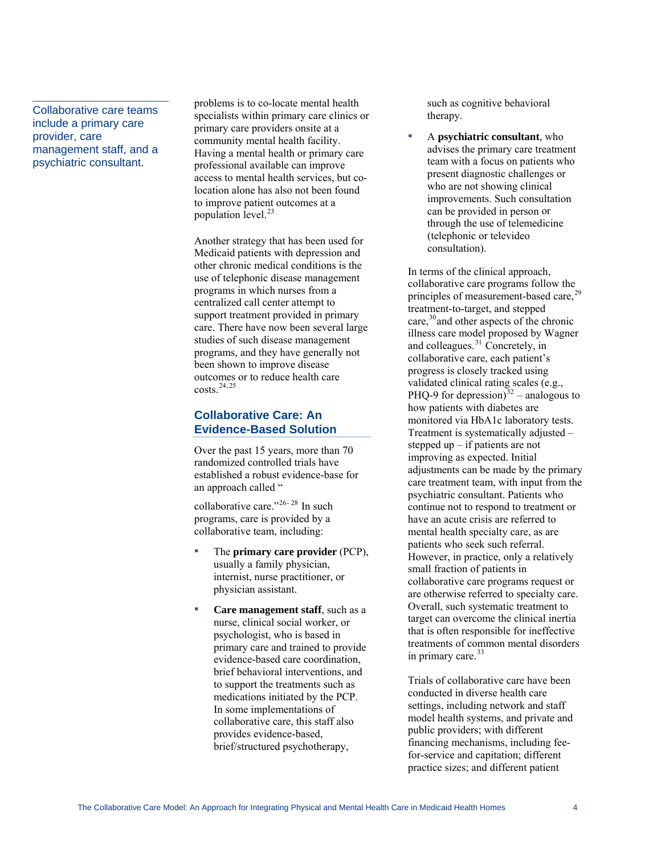Collaborative care teams include a primary care provider, care management staff, and a psychiatric consultant.

problems is to co-locate mental health specialists within primary care clinics or primary care providers onsite at a community mental health facility. Having a mental health or primary care professional available can improve access to mental health services, but colocation alone has also not been found to improve patient outcomes at a population level.<sup>[23](#page-10-1)</sup>

Another strategy that has been used for Medicaid patients with depression and other chronic medical conditions is the use of telephonic disease management programs in which nurses from a centralized call center attempt to support treatment provided in primary care. There have now been several large studies of such disease management programs, and they have generally not been shown to improve disease outcomes or to reduce health care  $costs.<sup>24,25</sup>$  $costs.<sup>24,25</sup>$  $costs.<sup>24,25</sup>$  $costs.<sup>24,25</sup>$  $costs.<sup>24,25</sup>$ 

# **Collaborative Care: An Evidence-Based Solution**

Over the past 15 years, more than 70 randomized controlled trials have established a robust evidence-base for an approach called "

collaborative care."<sup>[26](#page-10-1)-28</sup> In such [programs, care is provided by a](#page-11-0)  [collaborative team, including:](#page-11-0) 

- The **primary care provider** (PCP), usually a family physician, internist, nurse practitioner, or physician assistant.
- **Care management staff**, such as a nurse, clinical social worker, or psychologist, who is based in primary care and trained to provide evidence-based care coordination, brief behavioral interventions, and to support the treatments such as medications initiated by the PCP. In some implementations of collaborative care, this staff also provides evidence-based, brief/structured psychotherapy,

such as cognitive behavioral therapy.

A **psychiatric consultant**, who advises the primary care treatment team with a focus on patients who present diagnostic challenges or who are not showing clinical improvements. Such consultation can be provided in person or through the use of telem edicine ▪ (telephonic or televideo consultation).

care,<sup>[30](#page-11-0)</sup> and other aspects of the chronic illness care model proposed by Wagner monitored via HbA1c laboratory tests. continue not to respond to treatment or that is often responsible for ineffective treatments of common mental disorders In terms of the clinical approach, collaborative care programs follow the principles of measurement-based care,<sup>[29](#page-11-0)</sup> treatment-to-target, and stepped and colleagues.<sup>[31](#page-11-0)</sup> Concretely, in collaborative care, each patient's progress is closely tracked using validated clinical rating scales (e.g., PHQ-9 for depression) $32$  – analogous to how patients with diabetes are Treatment is systematically adjusted – stepped up – if patients are not improving as expected. Initial adjustments can be made by the primary care treatment team, with input from the psychiatric consultant. Patients who have an acute crisis are referred to mental health specialty care, as are patients who seek such referral. However, in practice, only a relatively small fraction of patients in collaborative care programs request or are otherwise referred to specialty care. Overall, such systematic treatment to target can overcome the clinical inertia [in](#page-11-0) primary care.<sup>[33](#page-11-0)</sup>

[Trials of collaborative care have been](#page-11-0)  [conducted in diverse health care](#page-11-0)  [settings, including network and staff](#page-11-0)  [model health systems, and private and](#page-11-0) [public providers; with different](#page-11-0)  [financing mechanisms, including fee](#page-11-0)[for-service and capitation; different](#page-11-0)  [practice sizes; and different patient](#page-11-0)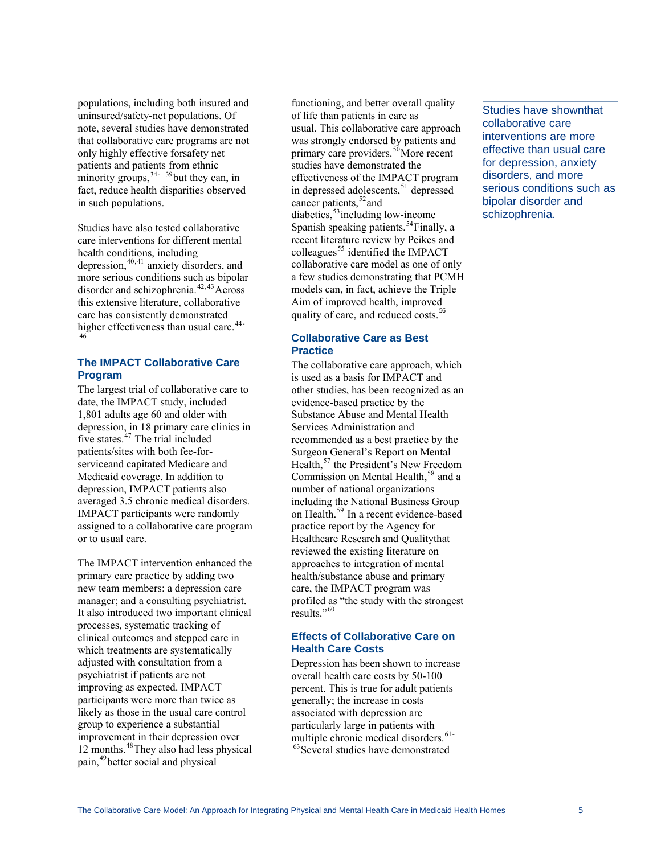[populations, including both insured and](#page-11-0)  [uninsured/safety-net populations. Of](#page-11-0)  [note, several studies have demonstr](#page-11-0) ated [that collaborative care programs a](#page-11-0)re not [only highly effective forsafety net](#page-11-0)  [patients and patients from ethnic](#page-11-0)  [minority groups,](#page-11-0)  $34 - 39$  $34 - 39$  $34 - 39$  but they can, in fact, reduce health disparities observed in such populations.

Studies have also tested collaborative disorder and schizophrenia.<sup>[42](#page-11-0),[43](#page-11-0)</sup>Across care has consistently demonstrated higher effectiveness than usual care. $44-46$ care interventions for different mental health conditions, including depression, $40,41$  $40,41$  $40,41$  anxiety disorders, and more serious conditions such as bipolar this extensive literature, collaborative

## **The IMPACT Collaborative Care Program**

The largest trial of collaborative care to 1,801 adults age 60 and older with depression, in 18 primary care clinics in IMPACT participants were randomly assigned to a collaborative care program date, the IMPACT study, included five states. $47$  The trial included patients/sites with both fee-forserviceand capitated Medicare and Medicaid coverage. In addition to depression, IMPACT patients also averaged 3.5 chronic medical disorders. or to usual care.

The IMPACT intervention enhanced the manager; and a consulting psychiatrist. It also introduced two important clinical clinical outcomes and stepped care in which treatments are systematically participants were more than twice as improvement in their depression over 12 months.<sup>[48](#page-11-0)</sup>They also had less physical pain,<sup>[49](#page-11-0)</sup>better social and physical primary care practice by adding two new team members: a depression care processes, systematic tracking of adjusted with consultation from a psychiatrist if patients are not improving as expected. IMPACT likely as those in the usual care control group to experience a substantial

was strongly endorsed by patients and effectiveness of the IMPACT program in depressed adolescents,<sup>[51](#page-11-0)</sup> depressed a few studies demonstrating that PCMH models can, in fact, achieve the Triple Aim of improved health, improved quality of care, and reduced costs.<sup>56</sup> functioning, and better overall quality of life than patients in care as usual. This collaborative care approach primary care providers.<sup>[50](#page-11-0)</sup>More recent studies have demonstrated the cancer patients,  $52$  and diabetics,  $53$  including low-income Spanish speaking patients.<sup>[54](#page-11-0)</sup>Finally, a recent literature review by Peikes and colleagues<sup>[55](#page-11-0)</sup> identified the IMPACT collaborative care model as one of only

## **Collaborative Care as Best Practice**

is used as a basis for IMPACT and other studies, has been recognized as an evidence-based practice by the Health,<sup>[57](#page-11-0)</sup> the President's New Freedom including the National Business Group on Health.<sup>[59](#page-11-0)</sup> In a recent evidence-based approaches to integration of mental care, the IMPACT program was profiled as "the study with the strongest The collaborative care approach, which Substance Abuse and Mental Health Services Administration and recommended as a best practice by the Surgeon General's Report on Mental Commission on Mental Health,<sup>[58](#page-11-0)</sup> and a number of national organizations practice report by the Agency for Healthcare Research and Qualitythat reviewed the existing literature on health/substance abuse and primary results."<sup>60</sup>

## **Effects of Collaborative Care on Health Care Costs**

overall health care costs by 50-100 percent. This is true for adult patients Depression has been shown to increase generally; the increase in costs associated with depression are particularly large in patients with multiple chronic medical disorders.<sup>[61](#page-11-0)-</sup>  $63$ Several studies have demonstrated

Studies have shownthat collaborative care interventions are more effective than usual care for depression, anxiety disorders, and more serious conditions such as bipolar disorder and schizophrenia.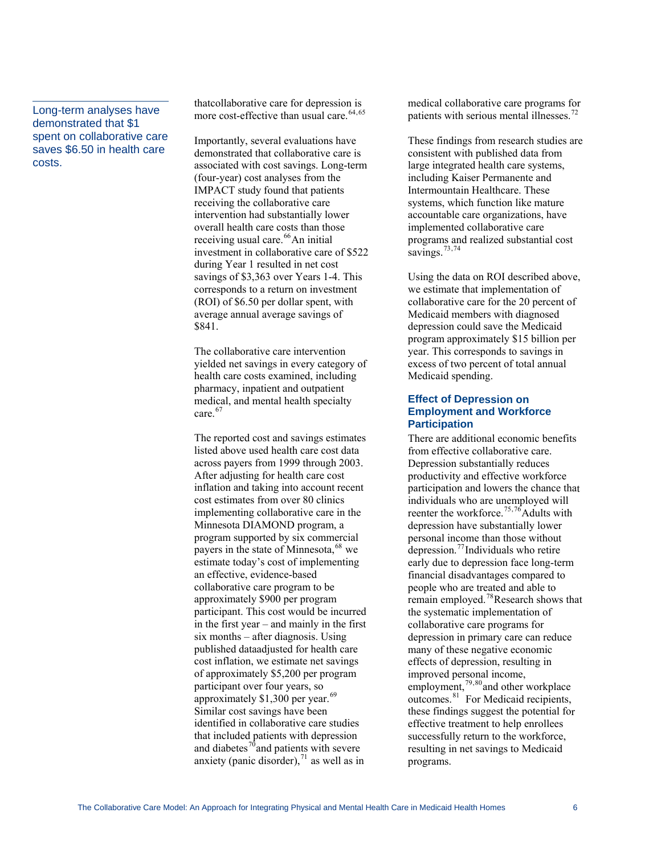Long-term analyses have demonstrated that \$1 spent on collaborative care saves \$6.50 in health care costs.

thatcollaborative care for depression is [m](#page-11-0)ore cost-effective than usual care.<sup>[64,65](#page-11-0)</sup>

[associated with cost savings. Long-t](#page-11-0)erm [\(four-year\) cost analyses from th](#page-11-0)e [intervention had substantially low](#page-11-0)er [savings of \\$3,363 over Years 1-4. Thi](#page-11-0)s [corresponds to a return on investme](#page-11-0)nt  $(ROI)$  of \$6.50 per dollar spent, with average annual average savings of [Importantly, several evaluations have](#page-11-0)  [demonstrated that collaborative care is](#page-11-0)  [IMPACT study found that patients](#page-11-0)  [receiving the collaborative care](#page-11-0)  [overall health care costs than those](#page-11-0)  [receiving usual care.](#page-11-0)<sup>66</sup>An initial [investment in collaborative care of \\$522](#page-11-0) [during Year 1 resulted in net cost](#page-11-0)  \$841.

yielded net savings in every category of pharmacy, inpatient and outpatient medical, and mental health specialty The collaborative care intervention health care costs examined, including [c](#page-12-0)are.<sup>[67](#page-12-0)</sup>

[listed above used health care cost da](#page-12-0)ta [payers in the state of Minneso](#page-12-0)ta,  $68$  we [estimate today's cost of implemen](#page-12-0)ting [participant. This cost would be incur](#page-12-0)red in the first year  $-$  and mainly in the first [cost inflation, we estimate net s](#page-12-0)avings [of approximately \\$5,200 per progr](#page-12-0)am [The reported cost and savings estimates](#page-12-0)  [across payers from 1999 through 2003.](#page-12-0)  [After adjusting for health care cost](#page-12-0)  [inflation and taking into account recent](#page-12-0)  [cost estimates from over 80 clinics](#page-12-0)  [implementing collaborative care in the](#page-12-0)  [Minnesota DIAMOND program, a](#page-12-0)  [program supported by six commercial](#page-12-0)  [an effective, evidence-based](#page-12-0)  [collaborative care program to be](#page-12-0)  [approximately \\$900 per program](#page-12-0)  [six months – after diagnosis. Using](#page-12-0)  [published dataadjusted for health care](#page-12-0)  [participant over four years, so](#page-12-0)  [approximately \\$1,300 per year.](#page-12-0)<sup>69</sup> [Similar cost savings have been](#page-12-0)  [identified in collaborative care studies](#page-12-0)  [that included patients with depression](#page-12-0)  [and diabetes](#page-12-0)<sup>70</sup> and patients with severe [anxiety \(panic disorder\),](#page-12-0) $71$  as well as in

medical collaborative care programs for [p](#page-12-0)atients with serious mental illnesses.<sup>[72](#page-12-0)</sup>

[These findings from research studies](#page-12-0) are [large integrated health care system](#page-12-0)s, [systems, which function like mat](#page-12-0)ure [implemented co](#page-12-0)llaborative care programs and realized substantial cost [consistent with published data from](#page-12-0) [including Kaiser Permanente and](#page-12-0)  [Intermountain Healthcare. These](#page-12-0)  [accountable care organizations, have](#page-12-0)  savings.<sup>73,74</sup>

collaborative care for the 20 percent of program approximately \$15 billion per year. This corresponds to savings in excess of two percent of total annual Using the data on ROI described above, we estimate that implementation of Medicaid members with diagnosed depression could save the Medicaid Medicaid spending.

#### **Effect of Depression on Employment and Workforce Participation**

There are additional economic benefits participation and lowers the chance that reenter the workforce.<sup>[75](#page-12-0),[76](#page-12-0)</sup>Adults with early due to depression face long-term remain employed.<sup>[78](#page-12-0)</sup>Research shows that depression in primary care can reduce many of these negative economic , these findings suggest the potential for successfully return to the workforce, resulting in net savings to Medicaid programs. from effective collaborative care. Depression substantially reduces productivity and effective workforce individuals who are unemployed will depression have substantially lower personal income than those without depression.[77](#page-12-0)Individuals who retire financial disadvantages compared to people who are treated and able to the systematic implementation of collaborative care programs for effects of depression, resulting in improved personal income, employment,<sup>[79](#page-12-0),[80](#page-12-0)</sup>and other workplace outcomes.<sup>[81](#page-12-0)</sup> For Medicaid recipients effective treatment to help enrollees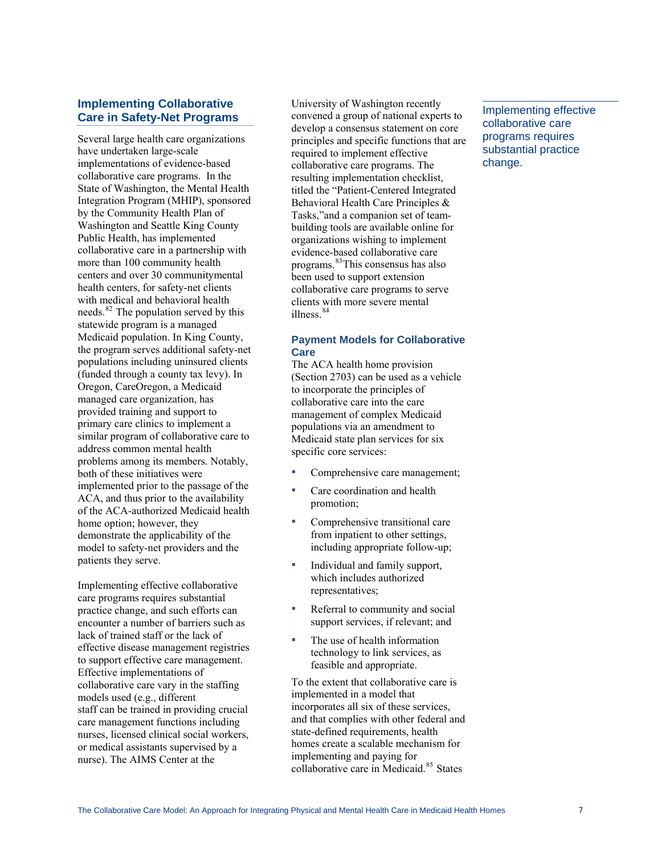## **Implementing Collaborative Care in Safety-Net Programs**

Several large health care organizations have undertaken large-scale implementations of evidence-based collaborative care programs. In the State of Washington, the Mental Health Integration Program (MHIP), sponsored by the Community Health Plan of Washington and Seattle King County Public Health, has implemented collaborative care in a partnership with more than 100 community health centers and over 30 communitymental health centers, for safety-net clients with medical and behavioral health needs.<sup>[82](#page-12-0)</sup> The population served by this statewide program is a managed Medicaid population. In King County, the program serves additional safety-net populations including uninsured clients (funded through a county tax levy). In Oregon, CareOregon, a Medicaid managed care organization, has provided training and support to primary care clinics to implement a similar program of collaborative care to address common mental health problems among its members. Notably, both of these initiatives were implemented prior to the passage of the ACA, and thus prior to the availability of the ACA-authorized Medicaid health home option; however, they demonstrate the applicability of the model to safety-net providers and the patients they serve.

Implementing effective collaborative care programs requires substantial practice change, and such efforts can encounter a number of barriers such as lack of trained staff or the lack of effective disease management registries to support effective care management. Effective implementations of collaborative care vary in the staffing models used (e.g., different staff can be trained in providing crucial care management functions including nurses, licensed clinical social workers, or medical assistants supervised by a nurse). The AIMS Center at the

University of Washington recently convened a group of national experts to develop a consensus statement on core principles and specific functions that are required to implement effective collaborative care programs. The resulting implementation checklist, titled the "Patient-Centered Integrated Behavioral Health Care Principles & Tasks,"and a companion set of teambuilding tools are available online for organizations wishing to implement evidence-based collaborative care programs.[83](#page-12-0)This consensus has also been used to support extension collaborative care programs to serve clients with more severe mental illness<sup>[84](#page-12-0)</sup>

#### **Payment Models for Collaborative Care**

The ACA health home provision (Section 2703) can be used as a vehicle to incorporate the principles of collaborative care into the care management of complex Medicaid populations via an amendment to Medicaid state plan services for six specific core services:

- Comprehensive care management;
- Care coordination and health promotion;
- Comprehensive transitional care from inpatient to other settings, including appropriate follow-up;
- Individual and family support, which includes authorized representatives;
- Referral to community and social support services, if relevant; an d
- The use of health information technology to link services , as ▪ feasible and appropriate.

To the extent that collaborative care is and that complies with other federal and homes create a scalable mechanism for implemented in a model that incorporates all six of these services, state-defined requirements, health implementing and paying for collaborative care in Medicaid.[85](#page-12-0) States

Implementing effective collaborative care programs requires substantial practice change.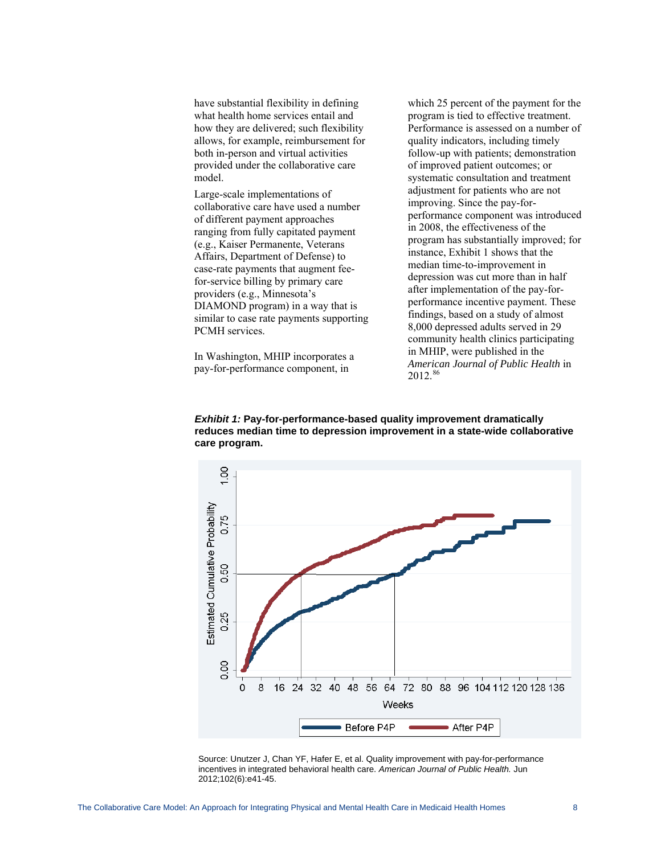allows, for example, reimbursement for provided under the collaborative care have substantial flexibility in defining what health home services entail and how they are delivered; such flexibility both in-person and virtual activities model.

collaborative care have used a number ranging from fully capitated payment - case-rate payments that augment fee for-service billing by primary care similar to case rate payments supporting PCMH services. Large-scale implementations of of different payment approaches (e.g., Kaiser Permanente, Veterans Affairs, Department of Defense) to providers (e.g., Minnesota's DIAMOND program) in a way that is

In Washington, MHIP incorporates a pay-for-performance component, in

which 25 percent of the payment for the Performance is assessed on a number of follow-up with patients; demonstration systematic consultation and treatment adjustment for patients who are not performance component was introduced program has substantially improved; for performance incentive payment. These community health clinics participating  *Journal of Public Health* in *American* 2012.<sup>86</sup> program is tied to effective treatment. quality indicators, including timely of improved patient outcomes; or improving. Since the pay-forin 2008, the effectiveness of the instance, Exhibit 1 shows that the median time-to-improvement in depression was cut more than in half after implementation of the pay-forfindings, based on a study of almost 8,000 depressed adults served in 29 in MHIP, were published in the

*Exhibit 1:* **Pay-for-performance-based quality improvement dramatically reduces median time to depression improvement in a state-wide collaborative care program.** 



Source: Unutzer J, Chan YF, Hafer E, et al. Quality improvement with pay-for-performan ce incentives in integrate d behavioral health care. *American Journal of Public Health.* Jun 2012;102(6):e41-45.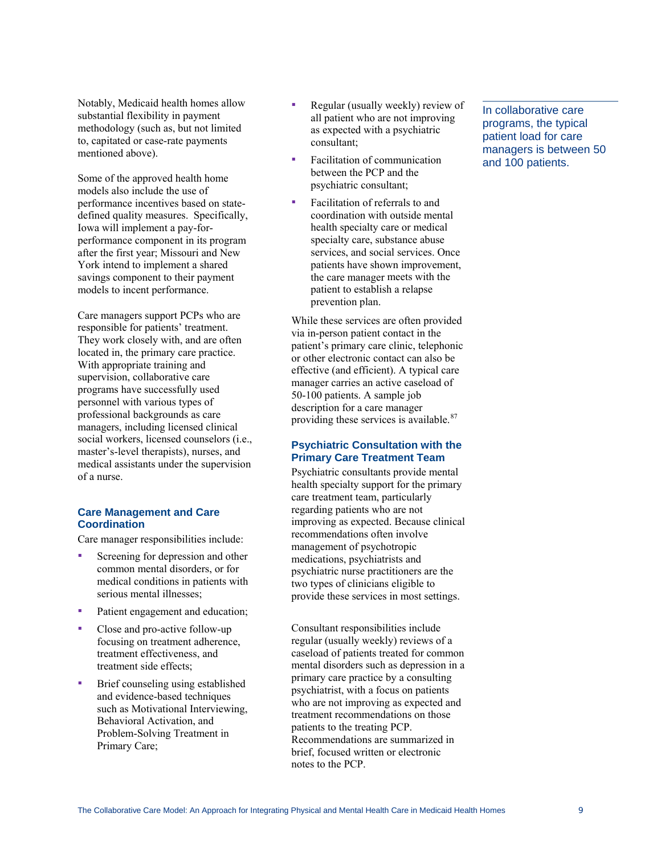Notably, Medicaid health homes allow substantial flexibility in payment methodology (such as, but not limited to, capitated or case-rate payments mentioned above).

Some of the approved health home models also include the use of performance incentives based on statedefined quality measures. Specifically, Iowa will implement a pay-forperformance component in its program after the first year; Missouri and New York intend to implement a shared savings component to their payment models to incent performance.

Care managers support PCPs who are responsible for patients' treatment. They work closely with, and are often located in, the primary care practice. With appropriate training and supervision, collaborative care programs have successfully used personnel with various types of professional backgrounds as care managers, including licensed clinical social workers, licensed counselors (i.e., master's-level therapists), nurses, and medical assistants under the supervision of a nurse.

#### **Care Management and Care Coordination**

Care manager responsibilities include:

- Screening for depression and other common mental disorders, or for medical conditions in patients with serious mental illnesses;
- Patient engagement and education;
- Close and pro-active follow-up focusing on treatment adherence, treatment effectiveness, and treatment side effects;
- Brief counseling using established and evidence-based techniques such as Motivational Interviewing, Behavioral Activation, and Problem-Solving Treatment in Primary Care;
- **Regular (usually weekly) review of** all patient w ho are not improving as expected with a psychiatric consultant;
- Facilitation of communication between the PCP and the psychiatric consultant;
- services, and social services. Once patients have shown improvement, the care manager meets with the Facilitation of referrals to and coordination with outside mental health specialty care or medical specialty care, substance abuse patient to establish a relapse prevention plan.

effective (and efficient). A typical care While these services are often provided via in-person patient contact in the patient's primary care clinic, telephonic or other electronic contact can also be manager carries an active caseload of 50-100 patients. A sample job description for a care manager providing these services is available.<sup>87</sup>

#### **Psychiatric Consultation with the Primary Care Treatment Team**

Psychiatric consultants provide mental improving as expected. Because clinical two types of clinicians eligible to provide these services in most settings. health specialty support for the primary care treatment team, particularly regarding patients who are not recommendations often involve management of psychotropic medications, psychiatrists and psychiatric nurse practitioners are the

Recommendations are summarized in brief, focused written or electronic notes to the PCP. Consultant responsibilities include regular (usually weekly) reviews of a caseload of patients treated for common mental disorders such as depression in a primary care practice by a consulting psychiatrist, with a focus on patients who are not improving as expected and treatment recommendations on those patients to the treating PCP.

In collaborative care programs, the typical patient load for care managers is between 50 and 100 patients.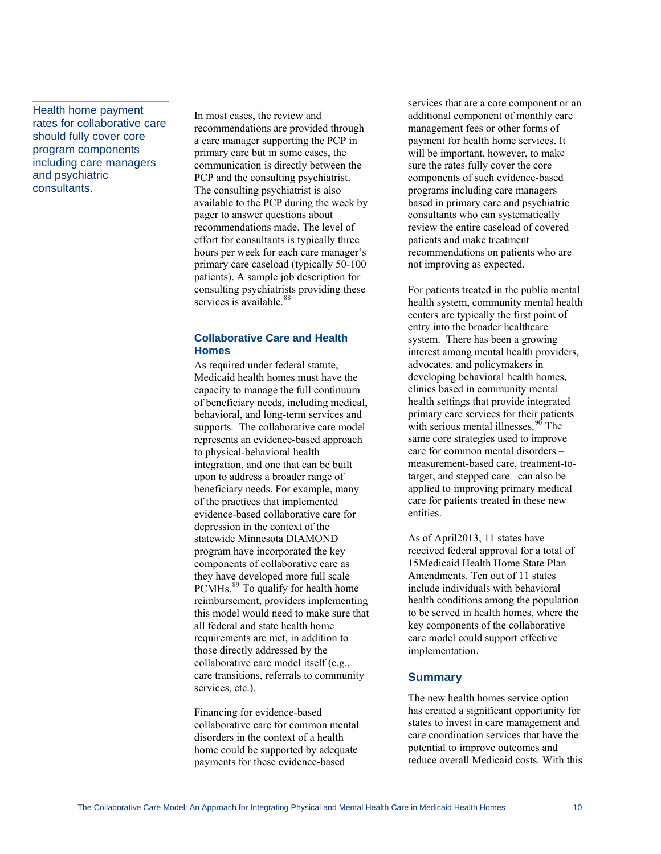Health home payment rates for collaborative care should fully cover core program components including care managers and psychiatric consultants.

In most cases, the review and recommendations are provided through a care manager supporting the PCP in communication is directly between the PCP and the consulting psychiatrist. available to the PCP during the week by consulting psychiatrists providing these services is available.<sup>88</sup> primary care but in some cases, the The consulting psychiatrist is also pager to answer questions about recommendations made. The level of effort for consultants is typically three hours per week for each care manager's primary care caseload (typically 50-100 patients). A sample job description for

#### **Collaborative Care and Health Homes**

integration, and one that can be built beneficiary needs. For example, many evidence-based collaborative care for this model would need to make sure that requirements are met, in addition to care transitions, referrals to community services, etc.). As required under federal statute, Medicaid health homes must have the capacity to manage the full continuum of beneficiary needs, including medical, behavioral, and long-term services and supports. The collaborative care model represents an evidence-based approach to physical-behavioral health upon to address a broader range of of the practices that implemented depression in the context of the statewide Minnesota DIAMOND program have incorporated the key components of collaborative care as they have developed more full scale PCMHs.<sup>[89](#page-12-1)</sup> To qualify for health home reimbursement, providers implementing all federal and state health home those directly addressed by the collaborative care model itself (e.g.,

collaborative care for common mental home could be supported by adequate Financing for evidence-based disorders in the context of a health payments for these evidence-based

additional component of monthly care will be important, however, to make based in primary care and psychiatric review the entire caseload of covered recommendations on patients who are not improving as expected. services that are a core component or an management fees or other forms of payment for health home services. It sure the rates fully cover the core components of such evidence-based programs including care managers consultants who can systematically patients and make treatment

health system, community mental health centers are typically the first point of interest among mental health providers, developing behavioral health homes, primary care services for their patients - measurement-based care, treatment-to care for patients treated in these new entities. For patients treated in the public mental entry into the broader healthcare system. There has been a growing advocates, and policymakers in clinics based in community mental health settings that provide integrated with serious mental illnesses.<sup>[90](#page-12-1)</sup> The same core strategies used to improve care for common mental disorders – target, and stepped care –can also be applied to improving primary medical

15Medicaid Health Home State Plan to be served in health homes, where the care model could support effective implementation. As of April2013, 11 states have received federal approval for a total of Amendments. Ten out of 11 states include individuals with behavioral health conditions among the population key components of the collaborative

## **Summary**

The new health homes service option has created a significant opportunity for states to invest in care management and care coordination services that have the potential to improve outcomes and reduce overall Medicaid costs. With this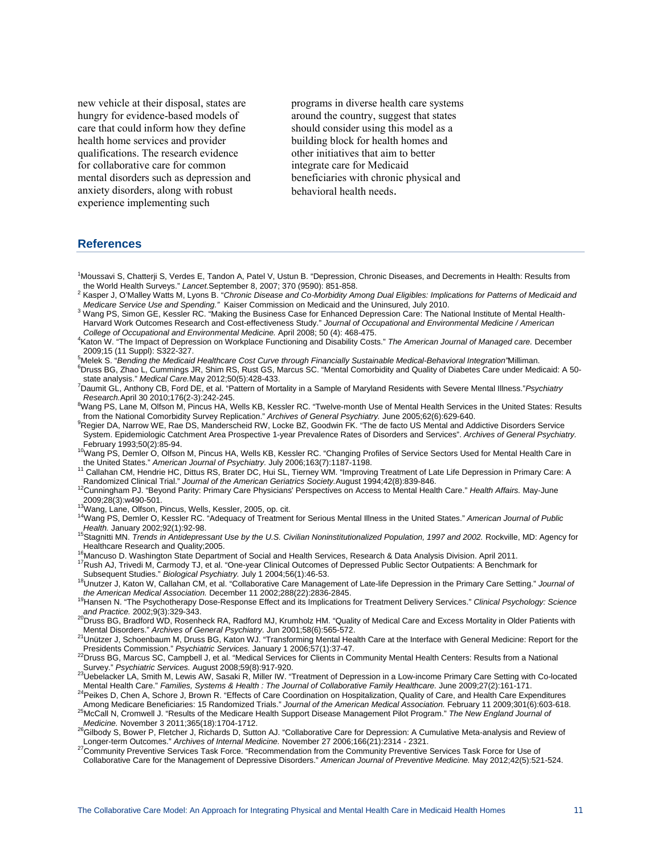<span id="page-10-1"></span>care that could inform how they define mental disorders such as depression and anxiety disorders, along with robust experience implementing such new vehicle at their disposal, states are hungry for evidence-based models of health home services and provider qualifications. The research evidence for collaborative care for common

programs in diverse health care systems around the country, suggest that states should consider using this model as a building block for health homes and other initiatives that aim to better integrate care for Medicaid beneficiaries with chronic physical and behavioral health needs.

#### **References**

- <span id="page-10-0"></span><sup>1</sup>Moussavi S, Chatterji S, Verdes E, Tandon A, Patel V, Ustun B. "Depression, Chronic Diseases, and Decrements in Health: Results from the World Health Surveys." Lancet.September 8, 2007; 370 (9590): 851-858. the World Health Surveys." *Lancet.*September 8, 2007; 370 (9590): 851-858.<br><sup>2</sup> Kasper J, O'Malley Watts M, Lyons B. "*Chronic Disease and Co‑Morbidity Among Dual Eligibles: Implications for Patterns of Medicaid and*
- *Medicare Service Use and Spending."* Kaiser Commission on Medicaid and the Uninsured, July 2010.<br><sup>3</sup> Wang PS, Simen CE, Keseler PC, "Meking the Businese Case for Enhanced Depression Care: The No
- <sup>3</sup> Wang PS, Simon GE, Kessler RC. "Making the Business Case for Enhanced Depression Care: The National Institute of Mental Health-Harvard Work Outcomes Research and Cost-effectiveness Study." *Journal of Occupational and Environmental Medicine / American*
- *College of Occupational and Environmental Medicine.* April 2008; 50 (4): 468-475. 4
- Katon W. "The Impact of Depression on Workplace Functioning and Disability Costs." *The American Journal of Managed care.* December 2009;15 (11 Suppl): S322-327.
- <sup>5</sup>Melek S. "Bending the Medicaid Healthcare Cost Curve through Financially Sustainable Medical-Behavioral Integration'Milliman.
- <sup>6</sup>Druss BG, Zhao L, Cummings JR, Shim RS, Rust GS, Marcus SC. "Mental Comorbidity and Quality of Diabetes Care under Medicaid: A 50state analysis." *Medical Care.*May 2012;50(5):428-433. 7
- <sup>7</sup> Daumit GL, Anthony CB, Ford DE, et al. "Pattern of Mortality in a Sample of Maryland Residents with Severe Mental Illness." Psychiatry *Research.*April 30 2010;176(2-3):242-245. 8
- <sup>8</sup>Wang PS, Lane M, Olfson M, Pincus HA, Wells KB, Kessler RC. "Twelve-month Use of Mental Health Services in the United States: Results from the National Comorbidity Survey Replication." Archives of General Psychiatry. June 2005;62(6):629-640.
- <sup>9</sup>Regier DA, Narrow WE, Rae DS, Manderscheid RW, Locke BZ, Goodwin FK. "The de facto US Mental and Addictive Disorders Service System. Epidemiologic Catchment Area Prospective 1-year Prevalence Rates of Disorders and Services". *Archives of General Psychiatry.*  February 1993;50(2):85-94.
- <sup>10</sup>Wang PS, Demler O, Olfson M, Pincus HA, Wells KB, Kessler RC. "Changing Profiles of Service Sectors Used for Mental Health Care in
- the United States." *American Journal of Psychiatry. July* 2006;163(7):1187-1198.<br><sup>11</sup> Callahan CM, Hendrie HC, Dittus RS, Brater DC, Hui SL, Tierney WM. "Improving Treatment of Late Life Depression in Primary Care: A<br>Rand
- <sup>12</sup>Cunningham PJ. "Beyond Parity: Primary Care Physicians' Perspectives on Access to Mental Health Care." Health Affairs. May-June<br>2009;28(3):w490-501.
- 
- <sup>13</sup>Wang, Lane, Olfson, Pincus, Wells, Kessler, 2005, op. cit.<br><sup>14</sup>Wang PS, Demler O, Kessler RC. "Adequacy of Treatment for Serious Mental Illness in the United States." *American Journal of Public*<br>*Health.* January 2002
- <sup>15</sup>Stagnitti MN. *Trends in Antidepressant Use by the U.S. Civilian Noninstitutionalized Population, 1997 and 2002. Rockville, MD: Agency for<br>Healthcare Research and Quality;2005.*
- 
- <sup>16</sup>Mancuso D. Washington State Department of Social and Health Services, Research & Data Analysis Division. April 2011.<br><sup>17</sup>Rush AJ, Trivedi M, Carmody TJ, et al. "One-year Clinical Outcomes of Depressed Public Sector Out
- <sup>18</sup>Unutzer J, Katon W, Callahan CM, et al. "Collaborative Care Management of Late-life Depression in the Primary Care Setting." *Journal of*<br>the American Medical Association. December 11 2002;288(22):2836-2845.
- <sup>19</sup> Hansen N. "The Psychotherapy Dose-Response Effect and its Implications for Treatment Delivery Services." *Clinical Psychology: Science* and Practice. 2002;9(3):329-343.
- and Practice. **Practice, 2002; 2002;**<br><sup>20</sup>Druss BG, Bradford WD, Rosenheck RA, Radford MJ, Krumholz HM. "Quality of Medical Care and Excess Mortality in Older Patients with <br>Mental Disorders." *Archives of General Psychiat*
- <sup>21</sup>Unützer J, Schoenbaum M, Druss BG, Katon WJ. "Transforming Mental Health Care at the Interface with General Medicine: Report for the<br>Presidents Commission." Psychiatric Services. January 1 2006;57(1):37-47.
- Presidents Commission." *Psychiatric Services.* January 1 2006;57(1):37-47. 22Druss BG, Marcus SC, Campbell J, et al. "Medical Services for Clients in Community Mental Health Centers: Results from a National
- Survey." *Psychiatric Services.* August 2008;59(8):917-920. 23Uebelacker LA, Smith M, Lewis AW, Sasaki R, Miller IW. "Treatment of Depression in a Low-income Primary Care Setting with Co-located
- 24 Peikes D, Chen A, Schore J, Brown R. "Effects of Care Coordination on Hospitalization, Quality of Care, and Health Care Expenditures
- Among Medicare Beneficiaries: 15 Randomized Trials." Journal of the American Medical Association. February 11 2009;301(6):603-618.<br><sup>25</sup>McCall N, Cromwell J. "Results of the Medicare Health Support Disease Management Pilot
- <sup>26</sup>Gilbody S, Bower P, Fletcher J, Richards D, Sutton AJ. "Collaborative Care for Depression: A Cumulative Meta-analysis and Review of<br>Longer-term Outcomes." Archives of Internal Medicine. November 27 2006;166(21):2314 -
- <sup>27</sup> Community Preventive Services Task Force. "Recommendation from the Community Preventive Services Task Force for Use of Collaborative Care for the Management of Depressive Disorders." *American Journal of Preventive Medicine.* May 2012;42(5):521-524.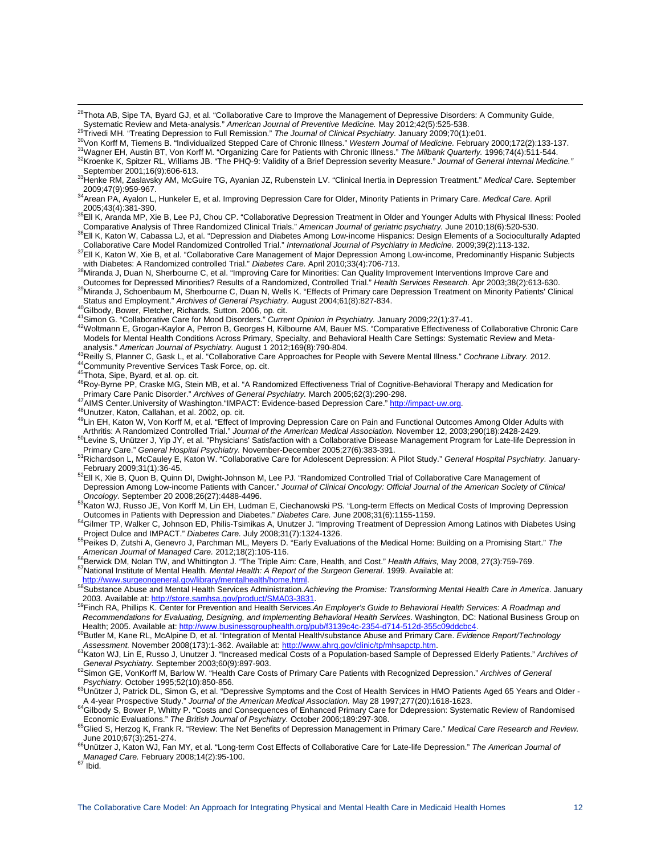<span id="page-11-0"></span><sup>28</sup>Thota AB, Sipe TA, Byard GJ, et al. "Collaborative Care to Improve the Management of Depressive Disorders: A Community Guide,

Systematic Review and Meta-analysis." American Journal of Preventive Medicine. May 2012;42(5):525-538.<br><sup>29</sup>Trivedi MH. "Treating Depression to Full Remission." The Journal of Clinical Psychiatry. January 2009;70(1):e01.<br><sup>3</sup>

<sup>36</sup>Ell K, Katon W, Cabassa LJ, et al. "Depression and Diabetes Among Low-income Hispanics: Design Elements of a Socioculturally Adapted<br>Collaborative Care Model Randomized Controlled Trial." *International Journal of Psyc* 

<sup>37</sup> Ell K, Katon W, Xie B, et al. "Collaborative Care Management of Major Depression Among Low-income, Predominantly Hispanic Subjects<br>with Diabetes: A Randomized controlled Trial." Diabetes Care. April 2010;33(4):706-713

40 Subody, Bower, Fletcher, Richards, Sutton. 2006, op. cit.<br>41 Simon G. "Collaborative Care for Mood Disorders." Current Opinion in Psychiatry. January 2009;22(1):37-41.<br>42 Woltmann E, Grogan-Kaylor A, Perron B, Georges H Models for Mental Health Conditions Across Primary, Specialty, and Behavioral Health Care Settings: Systematic Review and Meta-<br>analysis." American Journal of Psychiatry. August 1 2012;169(8):790-804.

j

<sup>43</sup>Reilly S, Planner C, Gask L, et al. "Collaborative Care Approaches for People with Severe Mental Illness." Cochrane Library. 2012.<br><sup>43</sup>Reilly S, Planner C, Gask L, et al. "Collaborative Care Approaches for People with

<sup>47</sup> AIMS Center University of Washington."IMPACT: Evidence-based Depression Care." [http://impact-uw.org](http://impact-uw.org/).<br><sup>48</sup> Unutzer, Katon, Callahan, et al. 2002, op. cit.<br><sup>49</sup> Lin EH, Katon W, Von Korff M, et al. "Effect of Improving

<sup>50</sup>Levine S, Unuitzer J, Yip JY, et al. "Physicians' Satisfaction with a Collaborative Disease Management Program for Late-life Depression in<br>Primary Care." General Hospital Psychiatry. November-December 2005;27(6):383-39

r main you. Construct the process of the contract of the construct of the study." General Hospital Psychiatry. January-<br>Fichardson L, McCauley E, Katon W. "Collaborative Care for Adolescent Depression: A Pilot Study." Gene

<sup>52</sup>Ell K, Xie B, Quon B, Quinn DI, Dwight-Johnson M, Lee PJ. "Randomized Controlled Trial of Collaborative Care Management of Depression Among Low-income Patients with Cancer." *Journal of Clinical Oncology: Official Journal of the American Society of Clinical* 

<sup>53</sup>Katon WJ, Russo JE, Von Korff M, Lin EH, Ludman E, Ciechanowski PS. "Long-term Effects on Medical Costs of Improving Depression<br>Outcomes in Patients with Depression and Diabetes." Diabetes Care. June 2008;31(6):1155-11

- <sup>54</sup>Gilmer TP, Walker C, Johnson ED, Philis-Tsimikas A, Unutzer J. "Improving Treatment of Depression Among Latinos with Diabetes Using<br>Project Dulce and IMPACT." Diabetes Care. July 2008:31(7):1324-1326.
- <sup>55</sup>Peikes D, Zutshi A, Genevro J, Parchman ML, Meyers D. "Early Evaluations of the Medical Home: Building on a Promising Start." The American Journal of Managed Care. 2012;18(2):105-116.

<sup>56</sup> Berwick DM, Nolan TW, and Whittington J. "The Triple Aim: Care, Health, and Cost." Health Affairs, May 2008, 27(3):759-769.<br><sup>57</sup> National Institute of Mental Health. *Mental Health: A Report of the Surgeon General.* 1

[http://www.surgeongeneral.gov/library/mentalhealth/home.html.](http://www.surgeongeneral.gov/library/mentalhealth/home.html)<br><sup>5[8](http://www.surgeongeneral.gov/library/mentalhealth/home.html)</sup>Substance Abuse and Mental Health Services Administration.Achieving the Promise: Transforming Mental Health Care in America. January<br>2003. Available at: htt

<sup>59</sup>Finch RA. Phillips K. Center for Prevention and Health Services.An Employer's Guide to Behavioral Health Services: A Roadmap and *Recommendations for Evaluating, Designing, and Implementing Behavioral Health Services*. Washington, DC: National Business Group on<br>Health; 2005. Available at: http://www.businessgrouphealth.org/pub/f3139c4c-2354-d714-512

60Butler M. Kane RL, McAlpine D, et al. "Integration of Mental Health/substance Abuse and Primary Care. Evidence Report/Technology

Assessment. November 2008(173):1-362. Available at: http://www.ahrg.gov/clinic/tp/mhsapctp.htm.<br><sup>61</sup>Katon WJ, Lin E, Russo J, Unutzer J. "Increased medical Costs of a Population-based Sample of Depressed Elderly Patients."

<sup>62</sup>Simon GE, VonKorff M, Barlow W. "Health Care Costs of Primary Care Patients with Recognized Depression." *Archives of General Psychiatry. October 1995:52(10):850-856*.

<sup>63</sup>Unützer J, Patrick DL, Simon G, et al. "Depressive Symptoms and the Cost of Health Services in HMO Patients Aged 65 Years and Older -<br>A 4-year Prospective Study." *Journal of the American Medical Association*. May 28 1

<sup>64</sup>Gilbody S, Bower P, Whitty P. "Costs and Consequences of Enhanced Primary Care for Ddepression: Systematic Review of Randomised<br>Economic Evaluations." The British Journal of Psychiatry. October 2006;189:297-308.

<sup>65</sup>Glied S, Herzog K, Frank R. "Review: The Net Benefits of Depression Management in Primary Care." Medical Care Research and Review. June 2010;67(3):251-274.

66Unützer J, Katon WJ, Fan MY, et al. "Long-term Cost Effects of Collaborative Care for Late-life Depression." *The American Journal of Managed Care.* February 2008;14(2):95-100.<br><sup>67</sup> Ibid.

September 2001;16(9):606-613. 33Henke RM, Zaslavsky AM, McGuire TG, Ayanian JZ, Rubenstein LV. "Clinical Inertia in Depression Treatment." *Medical Care.* September

<sup>2009;47(9):959-967. 34</sup>Arean PA, Ayalon L, Hunkeler E, et al. Improving Depression Care for Older, Minority Patients in Primary Care. *Medical Care.* April

<sup>&</sup>lt;sup>35</sup>Ell K, Aranda MP, Xie B, Lee PJ, Chou CP. "Collaborative Depression Treatment in Older and Younger Adults with Physical Illness: Pooled<br>Comparative Analysis of Three Randomized Clinical Trials." American Journal of ger

with Diabethes: A Randomized controlled the Diabetes: A Randomized controlled Trial." *Diabetes Cane. 2010;*<br>Outcomes for Depressed Minorities? Results of a Randomized. Controlled Trial." *Health Services Research*. Apr 20 <sup>39</sup> Miranda J, Schoenbaum M, Sherbourne C, Duan N, Wells K. "Effects of Primary care Depression Treatment on Minority Patients' Clinical<br>Status and Employment." Archives of General Psychiatry. August 2004;61(8):827-834.